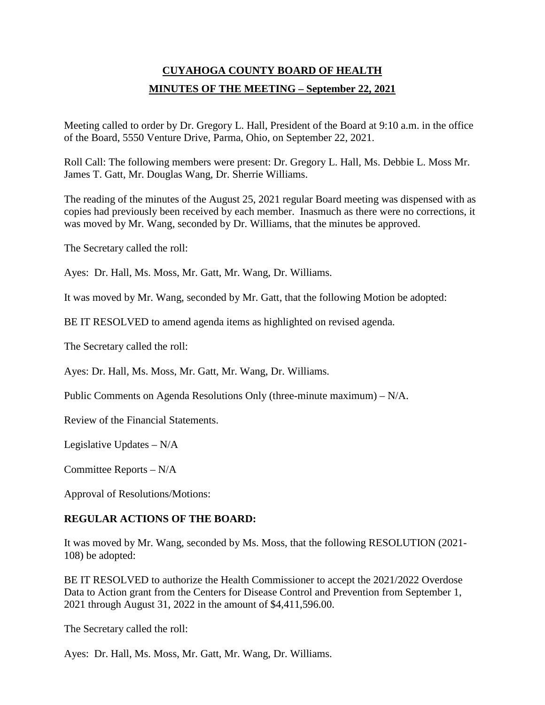# **CUYAHOGA COUNTY BOARD OF HEALTH MINUTES OF THE MEETING – September 22, 2021**

Meeting called to order by Dr. Gregory L. Hall, President of the Board at 9:10 a.m. in the office of the Board, 5550 Venture Drive, Parma, Ohio, on September 22, 2021.

Roll Call: The following members were present: Dr. Gregory L. Hall, Ms. Debbie L. Moss Mr. James T. Gatt, Mr. Douglas Wang, Dr. Sherrie Williams.

The reading of the minutes of the August 25, 2021 regular Board meeting was dispensed with as copies had previously been received by each member. Inasmuch as there were no corrections, it was moved by Mr. Wang, seconded by Dr. Williams, that the minutes be approved.

The Secretary called the roll:

Ayes: Dr. Hall, Ms. Moss, Mr. Gatt, Mr. Wang, Dr. Williams.

It was moved by Mr. Wang, seconded by Mr. Gatt, that the following Motion be adopted:

BE IT RESOLVED to amend agenda items as highlighted on revised agenda.

The Secretary called the roll:

Ayes: Dr. Hall, Ms. Moss, Mr. Gatt, Mr. Wang, Dr. Williams.

Public Comments on Agenda Resolutions Only (three-minute maximum) – N/A.

Review of the Financial Statements.

Legislative Updates – N/A

Committee Reports – N/A

Approval of Resolutions/Motions:

## **REGULAR ACTIONS OF THE BOARD:**

It was moved by Mr. Wang, seconded by Ms. Moss, that the following RESOLUTION (2021- 108) be adopted:

BE IT RESOLVED to authorize the Health Commissioner to accept the 2021/2022 Overdose Data to Action grant from the Centers for Disease Control and Prevention from September 1, 2021 through August 31, 2022 in the amount of \$4,411,596.00.

The Secretary called the roll:

Ayes: Dr. Hall, Ms. Moss, Mr. Gatt, Mr. Wang, Dr. Williams.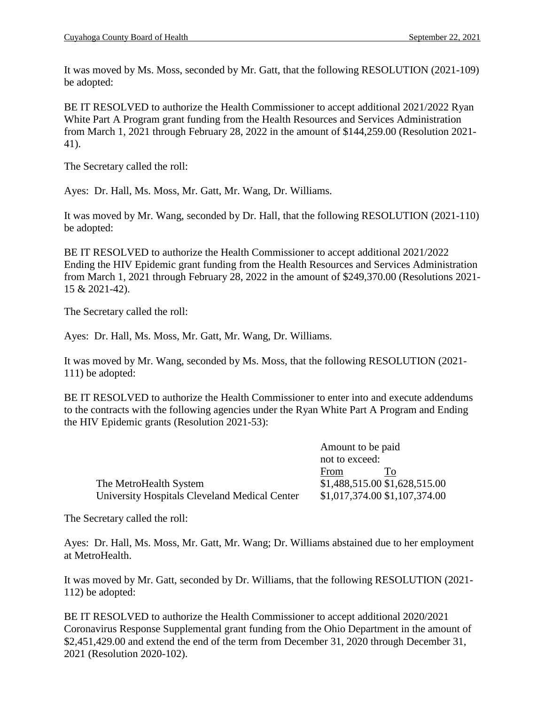It was moved by Ms. Moss, seconded by Mr. Gatt, that the following RESOLUTION (2021-109) be adopted:

BE IT RESOLVED to authorize the Health Commissioner to accept additional 2021/2022 Ryan White Part A Program grant funding from the Health Resources and Services Administration from March 1, 2021 through February 28, 2022 in the amount of \$144,259.00 (Resolution 2021- 41).

The Secretary called the roll:

Ayes: Dr. Hall, Ms. Moss, Mr. Gatt, Mr. Wang, Dr. Williams.

It was moved by Mr. Wang, seconded by Dr. Hall, that the following RESOLUTION (2021-110) be adopted:

BE IT RESOLVED to authorize the Health Commissioner to accept additional 2021/2022 Ending the HIV Epidemic grant funding from the Health Resources and Services Administration from March 1, 2021 through February 28, 2022 in the amount of \$249,370.00 (Resolutions 2021- 15 & 2021-42).

The Secretary called the roll:

Ayes: Dr. Hall, Ms. Moss, Mr. Gatt, Mr. Wang, Dr. Williams.

It was moved by Mr. Wang, seconded by Ms. Moss, that the following RESOLUTION (2021- 111) be adopted:

BE IT RESOLVED to authorize the Health Commissioner to enter into and execute addendums to the contracts with the following agencies under the Ryan White Part A Program and Ending the HIV Epidemic grants (Resolution 2021-53):

|                                               | Amount to be paid             |  |
|-----------------------------------------------|-------------------------------|--|
|                                               | not to exceed:                |  |
|                                               | From<br>To                    |  |
| The MetroHealth System                        | \$1,488,515.00 \$1,628,515.00 |  |
| University Hospitals Cleveland Medical Center | \$1,017,374.00 \$1,107,374.00 |  |

The Secretary called the roll:

Ayes: Dr. Hall, Ms. Moss, Mr. Gatt, Mr. Wang; Dr. Williams abstained due to her employment at MetroHealth.

It was moved by Mr. Gatt, seconded by Dr. Williams, that the following RESOLUTION (2021- 112) be adopted:

BE IT RESOLVED to authorize the Health Commissioner to accept additional 2020/2021 Coronavirus Response Supplemental grant funding from the Ohio Department in the amount of \$2,451,429.00 and extend the end of the term from December 31, 2020 through December 31, 2021 (Resolution 2020-102).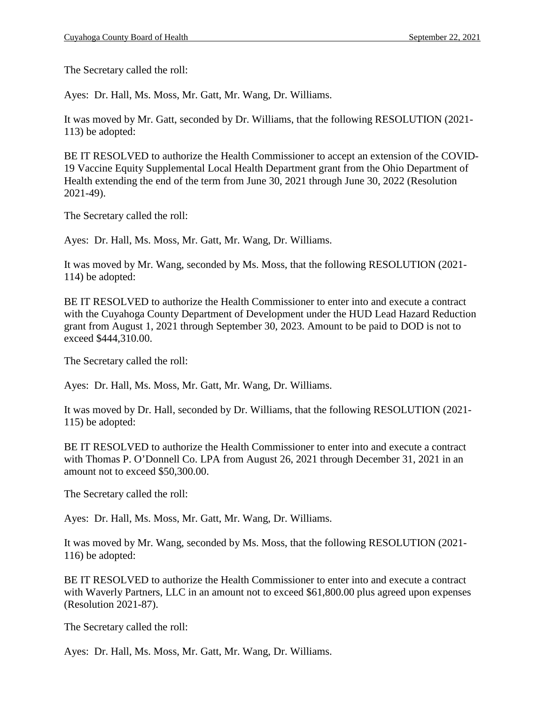The Secretary called the roll:

Ayes: Dr. Hall, Ms. Moss, Mr. Gatt, Mr. Wang, Dr. Williams.

It was moved by Mr. Gatt, seconded by Dr. Williams, that the following RESOLUTION (2021- 113) be adopted:

BE IT RESOLVED to authorize the Health Commissioner to accept an extension of the COVID-19 Vaccine Equity Supplemental Local Health Department grant from the Ohio Department of Health extending the end of the term from June 30, 2021 through June 30, 2022 (Resolution 2021-49).

The Secretary called the roll:

Ayes: Dr. Hall, Ms. Moss, Mr. Gatt, Mr. Wang, Dr. Williams.

It was moved by Mr. Wang, seconded by Ms. Moss, that the following RESOLUTION (2021- 114) be adopted:

BE IT RESOLVED to authorize the Health Commissioner to enter into and execute a contract with the Cuyahoga County Department of Development under the HUD Lead Hazard Reduction grant from August 1, 2021 through September 30, 2023. Amount to be paid to DOD is not to exceed \$444,310.00.

The Secretary called the roll:

Ayes: Dr. Hall, Ms. Moss, Mr. Gatt, Mr. Wang, Dr. Williams.

It was moved by Dr. Hall, seconded by Dr. Williams, that the following RESOLUTION (2021- 115) be adopted:

BE IT RESOLVED to authorize the Health Commissioner to enter into and execute a contract with Thomas P. O'Donnell Co. LPA from August 26, 2021 through December 31, 2021 in an amount not to exceed \$50,300.00.

The Secretary called the roll:

Ayes: Dr. Hall, Ms. Moss, Mr. Gatt, Mr. Wang, Dr. Williams.

It was moved by Mr. Wang, seconded by Ms. Moss, that the following RESOLUTION (2021- 116) be adopted:

BE IT RESOLVED to authorize the Health Commissioner to enter into and execute a contract with Waverly Partners, LLC in an amount not to exceed \$61,800.00 plus agreed upon expenses (Resolution 2021-87).

The Secretary called the roll:

Ayes: Dr. Hall, Ms. Moss, Mr. Gatt, Mr. Wang, Dr. Williams.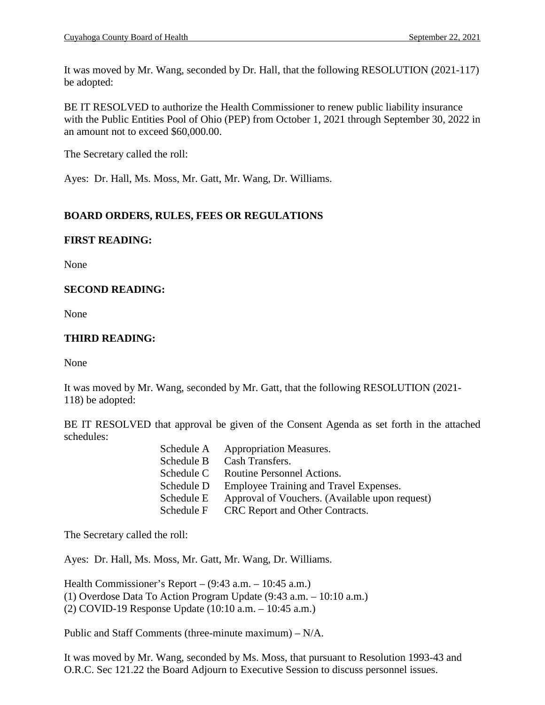It was moved by Mr. Wang, seconded by Dr. Hall, that the following RESOLUTION (2021-117) be adopted:

BE IT RESOLVED to authorize the Health Commissioner to renew public liability insurance with the Public Entities Pool of Ohio (PEP) from October 1, 2021 through September 30, 2022 in an amount not to exceed \$60,000.00.

The Secretary called the roll:

Ayes: Dr. Hall, Ms. Moss, Mr. Gatt, Mr. Wang, Dr. Williams.

## **BOARD ORDERS, RULES, FEES OR REGULATIONS**

## **FIRST READING:**

None

## **SECOND READING:**

None

## **THIRD READING:**

None

It was moved by Mr. Wang, seconded by Mr. Gatt, that the following RESOLUTION (2021- 118) be adopted:

BE IT RESOLVED that approval be given of the Consent Agenda as set forth in the attached schedules:

| Schedule A | <b>Appropriation Measures.</b>                 |
|------------|------------------------------------------------|
| Schedule B | Cash Transfers.                                |
| Schedule C | Routine Personnel Actions.                     |
| Schedule D | Employee Training and Travel Expenses.         |
| Schedule E | Approval of Vouchers. (Available upon request) |
| Schedule F | CRC Report and Other Contracts.                |

The Secretary called the roll:

Ayes: Dr. Hall, Ms. Moss, Mr. Gatt, Mr. Wang, Dr. Williams.

Health Commissioner's Report – (9:43 a.m. – 10:45 a.m.) (1) Overdose Data To Action Program Update (9:43 a.m. – 10:10 a.m.) (2) COVID-19 Response Update (10:10 a.m. – 10:45 a.m.)

Public and Staff Comments (three-minute maximum) – N/A.

It was moved by Mr. Wang, seconded by Ms. Moss, that pursuant to Resolution 1993-43 and O.R.C. Sec 121.22 the Board Adjourn to Executive Session to discuss personnel issues.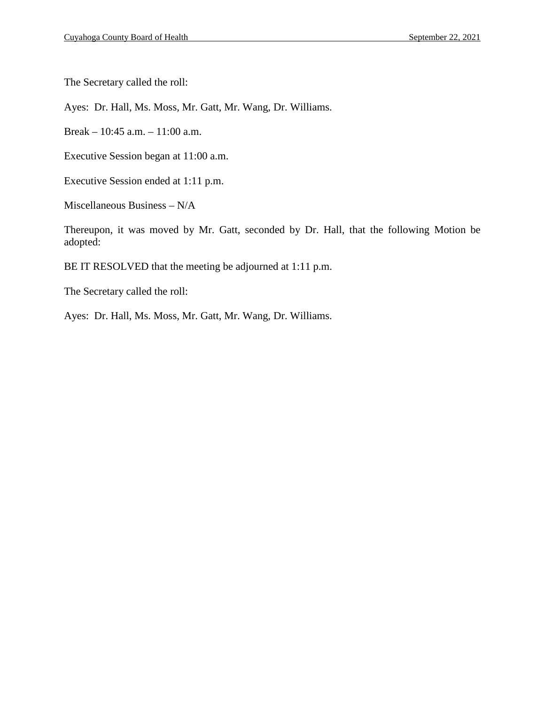The Secretary called the roll:

Ayes: Dr. Hall, Ms. Moss, Mr. Gatt, Mr. Wang, Dr. Williams.

Break – 10:45 a.m. – 11:00 a.m.

Executive Session began at 11:00 a.m.

Executive Session ended at 1:11 p.m.

Miscellaneous Business – N/A

Thereupon, it was moved by Mr. Gatt, seconded by Dr. Hall, that the following Motion be adopted:

BE IT RESOLVED that the meeting be adjourned at 1:11 p.m.

The Secretary called the roll:

Ayes: Dr. Hall, Ms. Moss, Mr. Gatt, Mr. Wang, Dr. Williams.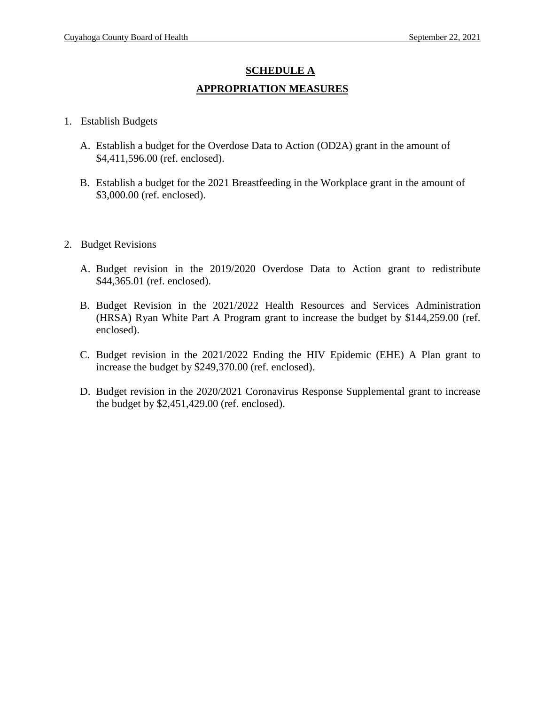# **SCHEDULE A APPROPRIATION MEASURES**

- 1. Establish Budgets
	- A. Establish a budget for the Overdose Data to Action (OD2A) grant in the amount of \$4,411,596.00 (ref. enclosed).
	- B. Establish a budget for the 2021 Breastfeeding in the Workplace grant in the amount of \$3,000.00 (ref. enclosed).
- 2. Budget Revisions
	- A. Budget revision in the 2019/2020 Overdose Data to Action grant to redistribute \$44,365.01 (ref. enclosed).
	- B. Budget Revision in the 2021/2022 Health Resources and Services Administration (HRSA) Ryan White Part A Program grant to increase the budget by \$144,259.00 (ref. enclosed).
	- C. Budget revision in the 2021/2022 Ending the HIV Epidemic (EHE) A Plan grant to increase the budget by \$249,370.00 (ref. enclosed).
	- D. Budget revision in the 2020/2021 Coronavirus Response Supplemental grant to increase the budget by \$2,451,429.00 (ref. enclosed).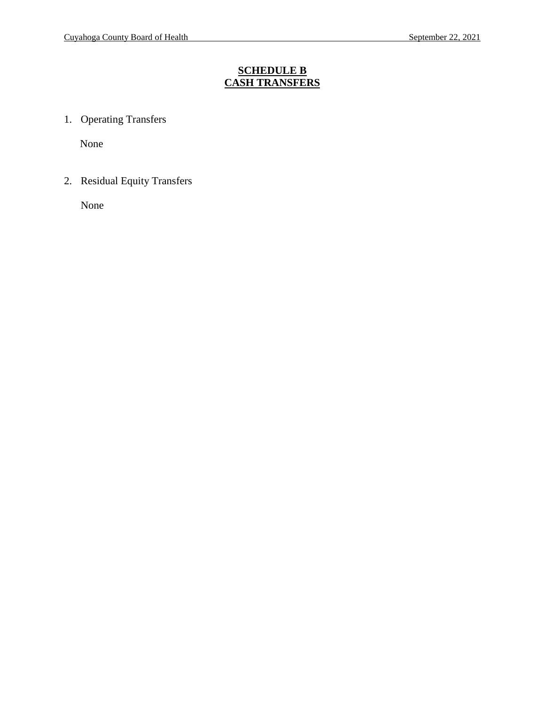## **SCHEDULE B CASH TRANSFERS**

1. Operating Transfers

None

2. Residual Equity Transfers

None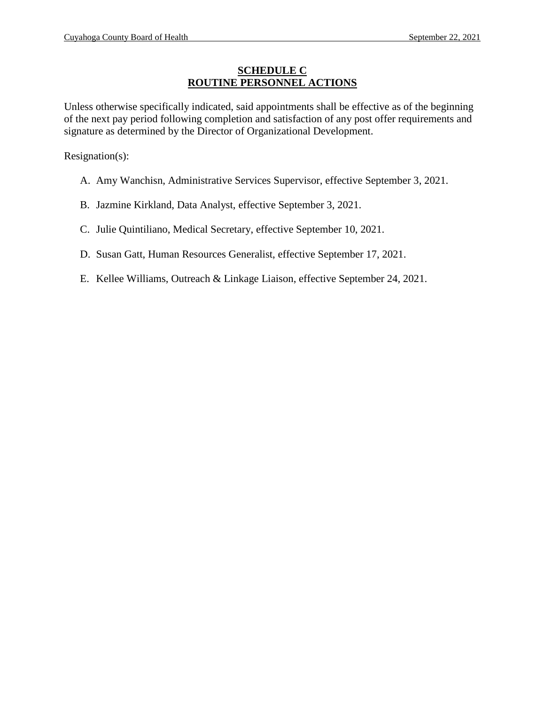## **SCHEDULE C ROUTINE PERSONNEL ACTIONS**

Unless otherwise specifically indicated, said appointments shall be effective as of the beginning of the next pay period following completion and satisfaction of any post offer requirements and signature as determined by the Director of Organizational Development.

Resignation(s):

- A. Amy Wanchisn, Administrative Services Supervisor, effective September 3, 2021.
- B. Jazmine Kirkland, Data Analyst, effective September 3, 2021.
- C. Julie Quintiliano, Medical Secretary, effective September 10, 2021.
- D. Susan Gatt, Human Resources Generalist, effective September 17, 2021.
- E. Kellee Williams, Outreach & Linkage Liaison, effective September 24, 2021.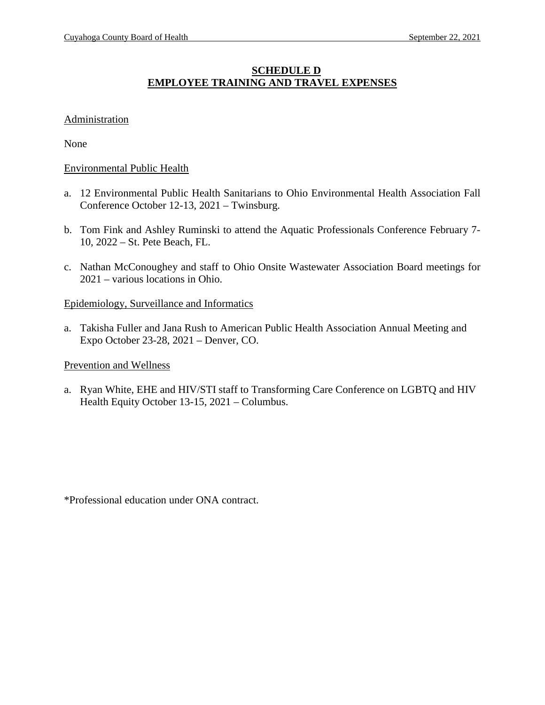## **SCHEDULE D EMPLOYEE TRAINING AND TRAVEL EXPENSES**

#### **Administration**

None

#### Environmental Public Health

- a. 12 Environmental Public Health Sanitarians to Ohio Environmental Health Association Fall Conference October 12-13, 2021 – Twinsburg.
- b. Tom Fink and Ashley Ruminski to attend the Aquatic Professionals Conference February 7- 10, 2022 – St. Pete Beach, FL.
- c. Nathan McConoughey and staff to Ohio Onsite Wastewater Association Board meetings for 2021 – various locations in Ohio.

#### Epidemiology, Surveillance and Informatics

a. Takisha Fuller and Jana Rush to American Public Health Association Annual Meeting and Expo October 23-28, 2021 – Denver, CO.

#### Prevention and Wellness

a. Ryan White, EHE and HIV/STI staff to Transforming Care Conference on LGBTQ and HIV Health Equity October 13-15, 2021 – Columbus.

\*Professional education under ONA contract.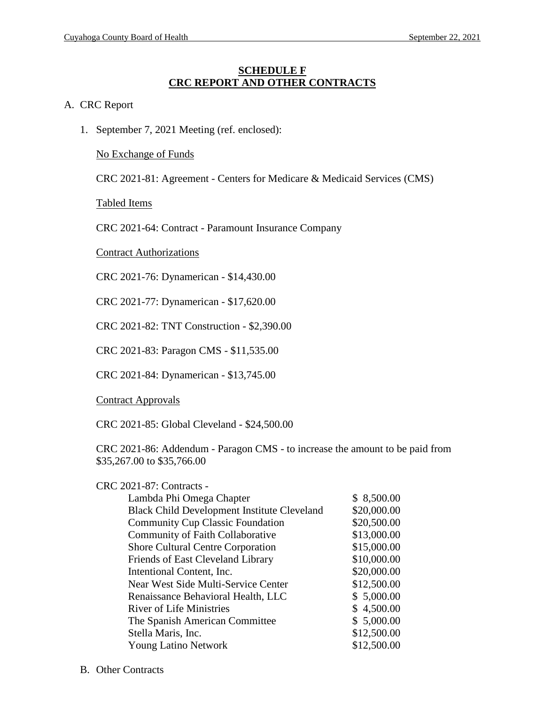#### **SCHEDULE F CRC REPORT AND OTHER CONTRACTS**

#### A. CRC Report

1. September 7, 2021 Meeting (ref. enclosed):

No Exchange of Funds

CRC 2021-81: Agreement - Centers for Medicare & Medicaid Services (CMS)

Tabled Items

CRC 2021-64: Contract - Paramount Insurance Company

Contract Authorizations

CRC 2021-76: Dynamerican - \$14,430.00

CRC 2021-77: Dynamerican - \$17,620.00

CRC 2021-82: TNT Construction - \$2,390.00

CRC 2021-83: Paragon CMS - \$11,535.00

CRC 2021-84: Dynamerican - \$13,745.00

Contract Approvals

CRC 2021-85: Global Cleveland - \$24,500.00

CRC 2021-86: Addendum - Paragon CMS - to increase the amount to be paid from \$35,267.00 to \$35,766.00

| <b>CRC 2021-87: Contracts -</b>                    |             |
|----------------------------------------------------|-------------|
| Lambda Phi Omega Chapter                           | \$8,500.00  |
| <b>Black Child Development Institute Cleveland</b> | \$20,000.00 |
| <b>Community Cup Classic Foundation</b>            | \$20,500.00 |
| Community of Faith Collaborative                   | \$13,000.00 |
| <b>Shore Cultural Centre Corporation</b>           | \$15,000.00 |
| Friends of East Cleveland Library                  | \$10,000.00 |
| Intentional Content, Inc.                          | \$20,000.00 |
| Near West Side Multi-Service Center                | \$12,500.00 |
| Renaissance Behavioral Health, LLC                 | \$5,000.00  |
| <b>River of Life Ministries</b>                    | \$4,500.00  |
| The Spanish American Committee                     | \$5,000.00  |
| Stella Maris, Inc.                                 | \$12,500.00 |
| <b>Young Latino Network</b>                        | \$12,500.00 |
|                                                    |             |

B. Other Contracts